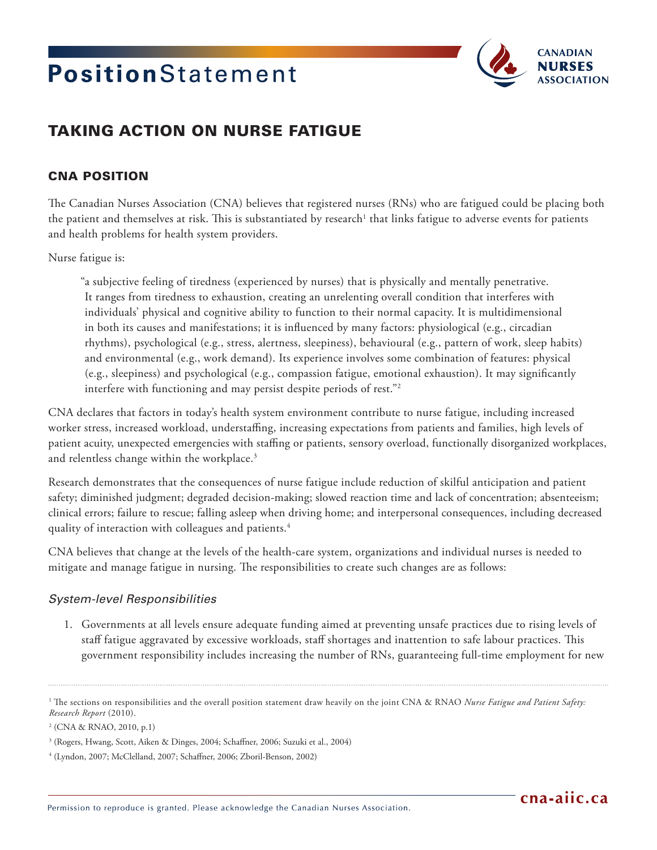# PositionStatement



# TAKING ACTION ON NURSE FATIGUE

## CNA POSITION

The Canadian Nurses Association (CNA) believes that registered nurses (RNs) who are fatigued could be placing both the patient and themselves at risk. This is substantiated by research $^{\rm t}$  that links fatigue to adverse events for patients and health problems for health system providers.

#### Nurse fatigue is:

"a subjective feeling of tiredness (experienced by nurses) that is physically and mentally penetrative. It ranges from tiredness to exhaustion, creating an unrelenting overall condition that interferes with individuals' physical and cognitive ability to function to their normal capacity. It is multidimensional in both its causes and manifestations; it is influenced by many factors: physiological (e.g., circadian rhythms), psychological (e.g., stress, alertness, sleepiness), behavioural (e.g., pattern of work, sleep habits) and environmental (e.g., work demand). Its experience involves some combination of features: physical (e.g., sleepiness) and psychological (e.g., compassion fatigue, emotional exhaustion). It may significantly interfere with functioning and may persist despite periods of rest."2

CNA declares that factors in today's health system environment contribute to nurse fatigue, including increased worker stress, increased workload, understaffing, increasing expectations from patients and families, high levels of patient acuity, unexpected emergencies with staffing or patients, sensory overload, functionally disorganized workplaces, and relentless change within the workplace.<sup>3</sup>

Research demonstrates that the consequences of nurse fatigue include reduction of skilful anticipation and patient safety; diminished judgment; degraded decision-making; slowed reaction time and lack of concentration; absenteeism; clinical errors; failure to rescue; falling asleep when driving home; and interpersonal consequences, including decreased quality of interaction with colleagues and patients.<sup>4</sup>

CNA believes that change at the levels of the health-care system, organizations and individual nurses is needed to mitigate and manage fatigue in nursing. The responsibilities to create such changes are as follows:

#### *System-level Responsibilities*

1. Governments at all levels ensure adequate funding aimed at preventing unsafe practices due to rising levels of staff fatigue aggravated by excessive workloads, staff shortages and inattention to safe labour practices. This government responsibility includes increasing the number of RNs, guaranteeing full-time employment for new

<sup>&</sup>lt;sup>1</sup> The sections on responsibilities and the overall position statement draw heavily on the joint CNA & RNAO *Nurse Fatigue and Patient Safety: Research Report* (2010).

<sup>2</sup> (CNA & RNAO, 2010, p.1)

<sup>3</sup> (Rogers, Hwang, Scott, Aiken & Dinges, 2004; Schaffner, 2006; Suzuki et al., 2004)

<sup>4</sup> (Lyndon, 2007; McClelland, 2007; Schaffner, 2006; Zboril-Benson, 2002)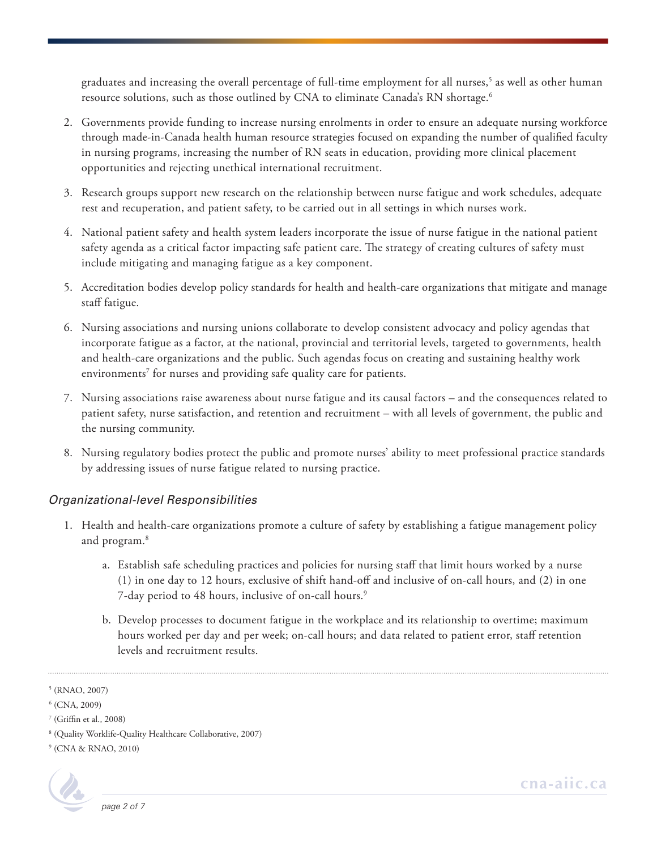graduates and increasing the overall percentage of full-time employment for all nurses,<sup>5</sup> as well as other human resource solutions, such as those outlined by CNA to eliminate Canada's RN shortage.<sup>6</sup>

- 2. Governments provide funding to increase nursing enrolments in order to ensure an adequate nursing workforce through made-in-Canada health human resource strategies focused on expanding the number of qualified faculty in nursing programs, increasing the number of RN seats in education, providing more clinical placement opportunities and rejecting unethical international recruitment.
- 3. Research groups support new research on the relationship between nurse fatigue and work schedules, adequate rest and recuperation, and patient safety, to be carried out in all settings in which nurses work.
- 4. National patient safety and health system leaders incorporate the issue of nurse fatigue in the national patient safety agenda as a critical factor impacting safe patient care. The strategy of creating cultures of safety must include mitigating and managing fatigue as a key component.
- 5. Accreditation bodies develop policy standards for health and health-care organizations that mitigate and manage staff fatigue.
- 6. Nursing associations and nursing unions collaborate to develop consistent advocacy and policy agendas that incorporate fatigue as a factor, at the national, provincial and territorial levels, targeted to governments, health and health-care organizations and the public. Such agendas focus on creating and sustaining healthy work environments<sup>7</sup> for nurses and providing safe quality care for patients.
- 7. Nursing associations raise awareness about nurse fatigue and its causal factors and the consequences related to patient safety, nurse satisfaction, and retention and recruitment – with all levels of government, the public and the nursing community.
- 8. Nursing regulatory bodies protect the public and promote nurses' ability to meet professional practice standards by addressing issues of nurse fatigue related to nursing practice.

### *Organizational-level Responsibilities*

- 1. Health and health-care organizations promote a culture of safety by establishing a fatigue management policy and program.8
	- a. Establish safe scheduling practices and policies for nursing staff that limit hours worked by a nurse (1) in one day to 12 hours, exclusive of shift hand-off and inclusive of on-call hours, and (2) in one 7-day period to 48 hours, inclusive of on-call hours.<sup>9</sup>
	- b. Develop processes to document fatigue in the workplace and its relationship to overtime; maximum hours worked per day and per week; on-call hours; and data related to patient error, staff retention levels and recruitment results.

<sup>9</sup> (CNA & RNAO, 2010)



<sup>5</sup> (RNAO, 2007)

<sup>6</sup> (CNA, 2009)

<sup>7</sup> (Griffin et al., 2008)

<sup>8</sup> (Quality Worklife-Quality Healthcare Collaborative, 2007)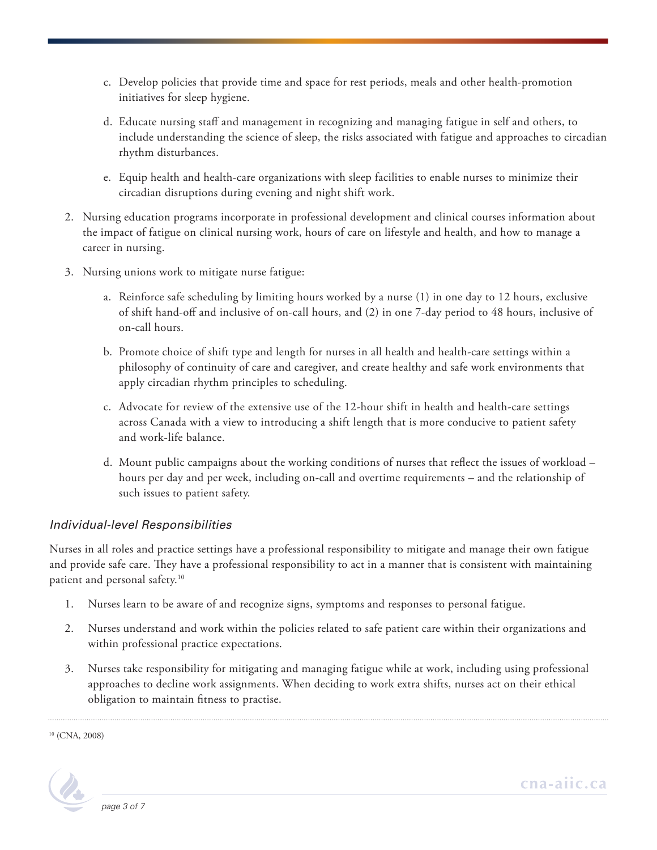- c. Develop policies that provide time and space for rest periods, meals and other health-promotion initiatives for sleep hygiene.
- d. Educate nursing staff and management in recognizing and managing fatigue in self and others, to include understanding the science of sleep, the risks associated with fatigue and approaches to circadian rhythm disturbances.
- e. Equip health and health-care organizations with sleep facilities to enable nurses to minimize their circadian disruptions during evening and night shift work.
- 2. Nursing education programs incorporate in professional development and clinical courses information about the impact of fatigue on clinical nursing work, hours of care on lifestyle and health, and how to manage a career in nursing.
- 3. Nursing unions work to mitigate nurse fatigue:
	- a. Reinforce safe scheduling by limiting hours worked by a nurse (1) in one day to 12 hours, exclusive of shift hand-off and inclusive of on-call hours, and (2) in one 7-day period to 48 hours, inclusive of on-call hours.
	- b. Promote choice of shift type and length for nurses in all health and health-care settings within a philosophy of continuity of care and caregiver, and create healthy and safe work environments that apply circadian rhythm principles to scheduling.
	- c. Advocate for review of the extensive use of the 12-hour shift in health and health-care settings across Canada with a view to introducing a shift length that is more conducive to patient safety and work-life balance.
	- d. Mount public campaigns about the working conditions of nurses that reflect the issues of workload hours per day and per week, including on-call and overtime requirements – and the relationship of such issues to patient safety.

### *Individual-level Responsibilities*

Nurses in all roles and practice settings have a professional responsibility to mitigate and manage their own fatigue and provide safe care. They have a professional responsibility to act in a manner that is consistent with maintaining patient and personal safety.10

- 1. Nurses learn to be aware of and recognize signs, symptoms and responses to personal fatigue.
- 2. Nurses understand and work within the policies related to safe patient care within their organizations and within professional practice expectations.
- 3. Nurses take responsibility for mitigating and managing fatigue while at work, including using professional approaches to decline work assignments. When deciding to work extra shifts, nurses act on their ethical obligation to maintain fitness to practise.

10 (CNA, 2008)

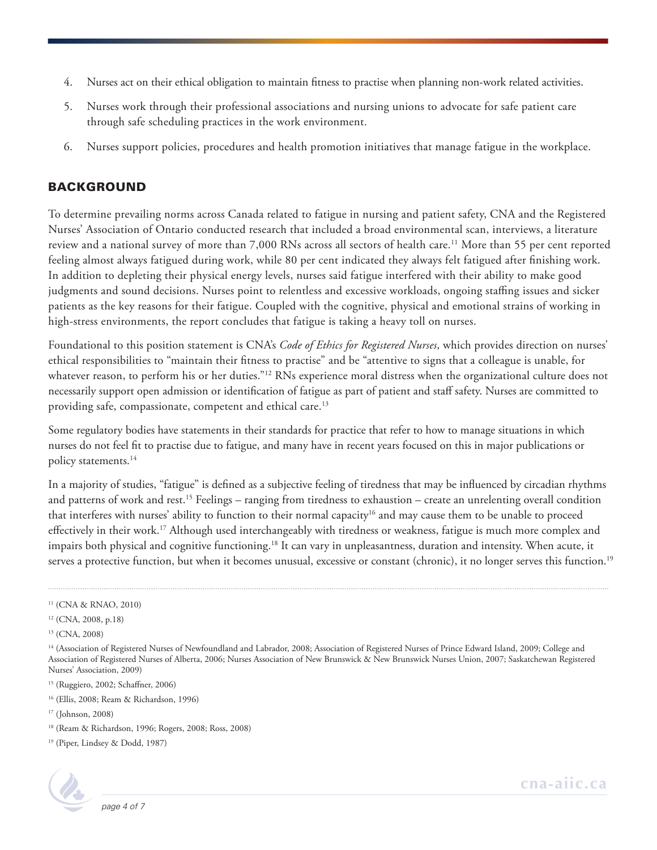- 4. Nurses act on their ethical obligation to maintain fitness to practise when planning non-work related activities.
- 5. Nurses work through their professional associations and nursing unions to advocate for safe patient care through safe scheduling practices in the work environment.
- 6. Nurses support policies, procedures and health promotion initiatives that manage fatigue in the workplace.

### BACKGROUND

To determine prevailing norms across Canada related to fatigue in nursing and patient safety, CNA and the Registered Nurses' Association of Ontario conducted research that included a broad environmental scan, interviews, a literature review and a national survey of more than 7,000 RNs across all sectors of health care.<sup>11</sup> More than 55 per cent reported feeling almost always fatigued during work, while 80 per cent indicated they always felt fatigued after finishing work. In addition to depleting their physical energy levels, nurses said fatigue interfered with their ability to make good judgments and sound decisions. Nurses point to relentless and excessive workloads, ongoing staffing issues and sicker patients as the key reasons for their fatigue. Coupled with the cognitive, physical and emotional strains of working in high-stress environments, the report concludes that fatigue is taking a heavy toll on nurses.

Foundational to this position statement is CNA's *Code of Ethics for Registered Nurses*, which provides direction on nurses' ethical responsibilities to "maintain their fitness to practise" and be "attentive to signs that a colleague is unable, for whatever reason, to perform his or her duties."<sup>12</sup> RNs experience moral distress when the organizational culture does not necessarily support open admission or identification of fatigue as part of patient and staff safety. Nurses are committed to providing safe, compassionate, competent and ethical care.<sup>13</sup>

Some regulatory bodies have statements in their standards for practice that refer to how to manage situations in which nurses do not feel fit to practise due to fatigue, and many have in recent years focused on this in major publications or policy statements.<sup>14</sup>

In a majority of studies, "fatigue" is defined as a subjective feeling of tiredness that may be influenced by circadian rhythms and patterns of work and rest.<sup>15</sup> Feelings – ranging from tiredness to exhaustion – create an unrelenting overall condition that interferes with nurses' ability to function to their normal capacity<sup>16</sup> and may cause them to be unable to proceed effectively in their work.<sup>17</sup> Although used interchangeably with tiredness or weakness, fatigue is much more complex and impairs both physical and cognitive functioning.<sup>18</sup> It can vary in unpleasantness, duration and intensity. When acute, it serves a protective function, but when it becomes unusual, excessive or constant (chronic), it no longer serves this function.<sup>19</sup>

- 16 (Ellis, 2008; Ream & Richardson, 1996)
- 17 (Johnson, 2008)

<sup>19 (</sup>Piper, Lindsey & Dodd, 1987)



<sup>11 (</sup>CNA & RNAO, 2010)

<sup>12 (</sup>CNA, 2008, p.18)

<sup>13 (</sup>CNA, 2008)

<sup>&</sup>lt;sup>14</sup> (Association of Registered Nurses of Newfoundland and Labrador, 2008; Association of Registered Nurses of Prince Edward Island, 2009; College and Association of Registered Nurses of Alberta, 2006; Nurses Association of New Brunswick & New Brunswick Nurses Union, 2007; Saskatchewan Registered Nurses' Association, 2009)

<sup>15 (</sup>Ruggiero, 2002; Schaffner, 2006)

<sup>18 (</sup>Ream & Richardson, 1996; Rogers, 2008; Ross, 2008)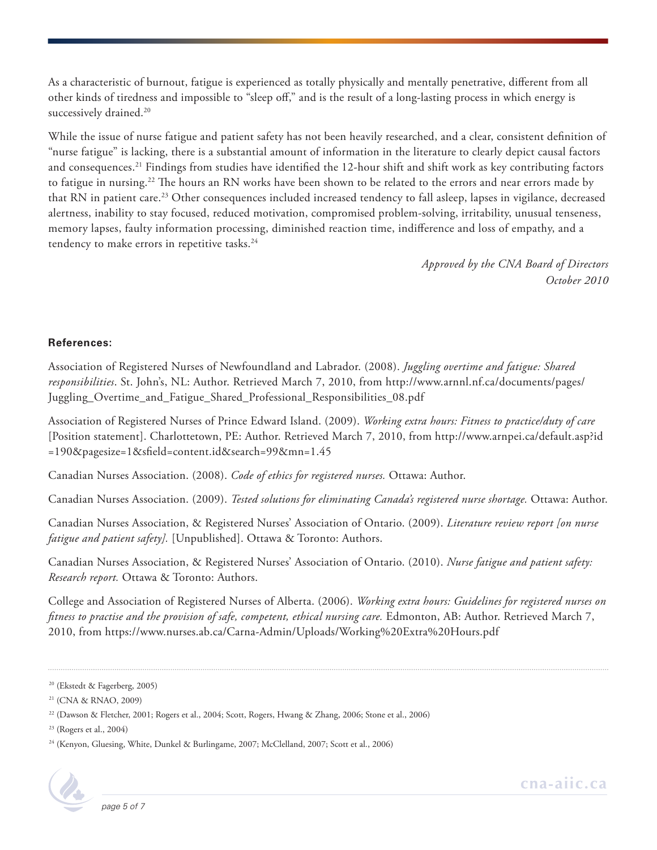As a characteristic of burnout, fatigue is experienced as totally physically and mentally penetrative, different from all other kinds of tiredness and impossible to "sleep off," and is the result of a long-lasting process in which energy is successively drained.<sup>20</sup>

While the issue of nurse fatigue and patient safety has not been heavily researched, and a clear, consistent definition of "nurse fatigue" is lacking, there is a substantial amount of information in the literature to clearly depict causal factors and consequences.21 Findings from studies have identified the 12-hour shift and shift work as key contributing factors to fatigue in nursing.22 The hours an RN works have been shown to be related to the errors and near errors made by that RN in patient care.23 Other consequences included increased tendency to fall asleep, lapses in vigilance, decreased alertness, inability to stay focused, reduced motivation, compromised problem-solving, irritability, unusual tenseness, memory lapses, faulty information processing, diminished reaction time, indifference and loss of empathy, and a tendency to make errors in repetitive tasks.<sup>24</sup>

> *Approved by the CNA Board of Directors October 2010*

#### **References:**

Association of Registered Nurses of Newfoundland and Labrador. (2008). *Juggling overtime and fatigue: Shared responsibilities*. St. John's, NL: Author. Retrieved March 7, 2010, from [http://www.arnnl.nf.ca/documents/pages/](http://www.arnnl.nf.ca/documents/pages/Juggling_Overtime_and_Fatigue_Shared_Professional_Responsibilities_08.pdf) [Juggling\\_Overtime\\_and\\_Fatigue\\_Shared\\_Professional\\_Responsibilities\\_08.pdf](http://www.arnnl.nf.ca/documents/pages/Juggling_Overtime_and_Fatigue_Shared_Professional_Responsibilities_08.pdf)

Association of Registered Nurses of Prince Edward Island. (2009). *Working extra hours: Fitness to practice/duty of care* [Position statement]. Charlottetown, PE: Author. Retrieved March 7, 2010, from [http://www.arnpei.ca/default.asp?id](http://www.arnpei.ca/default.asp?id=190&pagesize=1&sfield=content.id&search=99&mn=1.45) [=190&pagesize=1&sfield=content.id&search=99&mn=1.45](http://www.arnpei.ca/default.asp?id=190&pagesize=1&sfield=content.id&search=99&mn=1.45) 

Canadian Nurses Association. (2008). *Code of ethics for registered nurses.* Ottawa: Author.

Canadian Nurses Association. (2009). *Tested solutions for eliminating Canada's registered nurse shortage.* Ottawa: Author.

Canadian Nurses Association, & Registered Nurses' Association of Ontario. (2009). *Literature review report [on nurse fatigue and patient safety].* [Unpublished]. Ottawa & Toronto: Authors.

Canadian Nurses Association, & Registered Nurses' Association of Ontario. (2010). *Nurse fatigue and patient safety: Research report.* Ottawa & Toronto: Authors.

College and Association of Registered Nurses of Alberta. (2006). *Working extra hours: Guidelines for registered nurses on fitness to practise and the provision of safe, competent, ethical nursing care.* Edmonton, AB: Author. Retrieved March 7, 2010, from <https://www.nurses.ab.ca/Carna-Admin/Uploads/Working%20Extra%20Hours.pdf>

23 (Rogers et al., 2004)

<sup>&</sup>lt;sup>24</sup> (Kenyon, Gluesing, White, Dunkel & Burlingame, 2007; McClelland, 2007; Scott et al., 2006)



<sup>20 (</sup>Ekstedt & Fagerberg, 2005)

<sup>21 (</sup>CNA & RNAO, 2009)

<sup>22 (</sup>Dawson & Fletcher, 2001; Rogers et al., 2004; Scott, Rogers, Hwang & Zhang, 2006; Stone et al., 2006)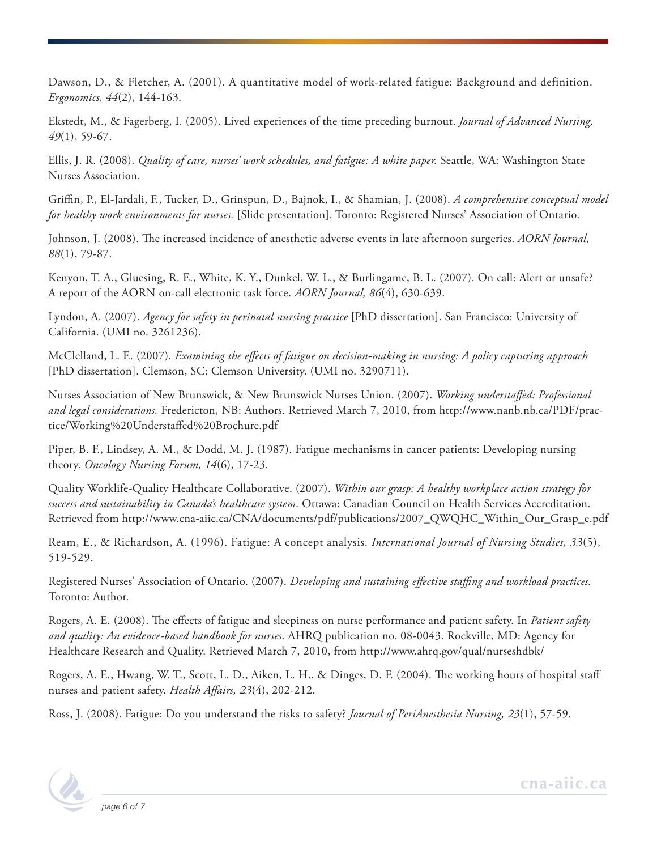Dawson, D., & Fletcher, A. (2001). A quantitative model of work-related fatigue: Background and definition. *Ergonomics, 44*(2), 144-163.

Ekstedt, M., & Fagerberg, I. (2005). Lived experiences of the time preceding burnout. *Journal of Advanced Nursing, 49*(1), 59-67.

Ellis, J. R. (2008). *Quality of care, nurses' work schedules, and fatigue: A white paper.* Seattle, WA: Washington State Nurses Association.

Griffin, P., El-Jardali, F., Tucker, D., Grinspun, D., Bajnok, I., & Shamian, J. (2008). *A comprehensive conceptual model for healthy work environments for nurses.* [Slide presentation]. Toronto: Registered Nurses' Association of Ontario.

Johnson, J. (2008). The increased incidence of anesthetic adverse events in late afternoon surgeries. *AORN Journal, 88*(1), 79-87.

Kenyon, T. A., Gluesing, R. E., White, K. Y., Dunkel, W. L., & Burlingame, B. L. (2007). On call: Alert or unsafe? A report of the AORN on-call electronic task force. *AORN Journal, 86*(4), 630-639.

Lyndon, A. (2007). *Agency for safety in perinatal nursing practice* [PhD dissertation]. San Francisco: University of California. (UMI no. 3261236).

McClelland, L. E. (2007). *Examining the effects of fatigue on decision-making in nursing: A policy capturing approach* [PhD dissertation]. Clemson, SC: Clemson University. (UMI no. 3290711).

Nurses Association of New Brunswick, & New Brunswick Nurses Union. (2007). *Working understaffed: Professional and legal considerations.* Fredericton, NB: Authors. Retrieved March 7, 2010, from [http://www.nanb.nb.ca/PDF/prac](http://www.nanb.nb.ca/PDF/practice/Working%20Understaffed%20Brochure.pdf)[tice/Working%20Understaffed%20Brochure.pdf](http://www.nanb.nb.ca/PDF/practice/Working%20Understaffed%20Brochure.pdf)

Piper, B. F., Lindsey, A. M., & Dodd, M. J. (1987). Fatigue mechanisms in cancer patients: Developing nursing theory. *Oncology Nursing Forum, 14*(6), 17-23.

Quality Worklife-Quality Healthcare Collaborative. (2007). *Within our grasp: A healthy workplace action strategy for success and sustainability in Canada's healthcare system*. Ottawa: Canadian Council on Health Services Accreditation. Retrieved from [http://www.cna-aiic.ca/CNA/documents/pdf/publications/2007\\_QWQHC\\_Within\\_Our\\_Grasp\\_e.pdf](http://www.cna-aiic.ca/CNA/documents/pdf/publications/2007_QWQHC_Within_Our_Grasp_e.pdf)

Ream, E., & Richardson, A. (1996). Fatigue: A concept analysis. *International Journal of Nursing Studies, 33*(5), 519-529.

Registered Nurses' Association of Ontario. (2007). *Developing and sustaining effective staffing and workload practices.* Toronto: Author.

Rogers, A. E. (2008). The effects of fatigue and sleepiness on nurse performance and patient safety. In *Patient safety and quality: An evidence-based handbook for nurses*. AHRQ publication no. 08-0043. Rockville, MD: Agency for Healthcare Research and Quality. Retrieved March 7, 2010, from <http://www.ahrq.gov/qual/nurseshdbk/>

Rogers, A. E., Hwang, W. T., Scott, L. D., Aiken, L. H., & Dinges, D. F. (2004). The working hours of hospital staff nurses and patient safety. *Health Affairs, 23*(4), 202-212.

Ross, J. (2008). Fatigue: Do you understand the risks to safety? *Journal of PeriAnesthesia Nursing, 23*(1), 57-59.